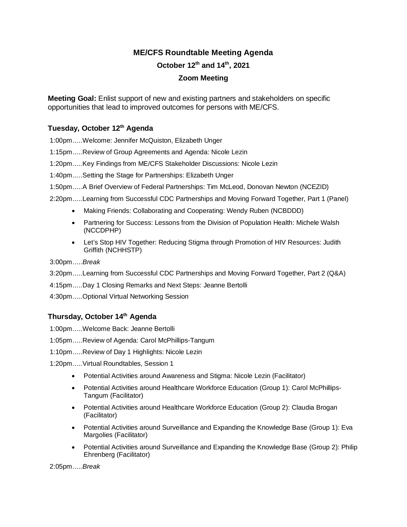## **ME/CFS Roundtable Meeting Agenda**

**October 12th and 14th, 2021**

## **Zoom Meeting**

**Meeting Goal:** Enlist support of new and existing partners and stakeholders on specific opportunities that lead to improved outcomes for persons with ME/CFS.

## **Tuesday, October 12th Agenda**

1:00pm.....Welcome: Jennifer McQuiston, Elizabeth Unger

1:15pm.....Review of Group Agreements and Agenda: Nicole Lezin

1:20pm.....Key Findings from ME/CFS Stakeholder Discussions: Nicole Lezin

1:40pm.....Setting the Stage for Partnerships: Elizabeth Unger

1:50pm.....A Brief Overview of Federal Partnerships: Tim McLeod, Donovan Newton (NCEZID)

2:20pm.....Learning from Successful CDC Partnerships and Moving Forward Together, Part 1 (Panel)

- Making Friends: Collaborating and Cooperating: Wendy Ruben (NCBDDD)
- Partnering for Success: Lessons from the Division of Population Health: Michele Walsh (NCCDPHP)
- Let's Stop HIV Together: Reducing Stigma through Promotion of HIV Resources: Judith Griffith (NCHHSTP)

3:00pm.....*Break*

- 3:20pm.....Learning from Successful CDC Partnerships and Moving Forward Together, Part 2 (Q&A)
- 4:15pm.....Day 1 Closing Remarks and Next Steps: Jeanne Bertolli
- 4:30pm.....Optional Virtual Networking Session

## **Thursday, October 14th Agenda**

- 1:00pm.....Welcome Back: Jeanne Bertolli
- 1:05pm.....Review of Agenda: Carol McPhillips-Tangum
- 1:10pm.....Review of Day 1 Highlights: Nicole Lezin
- 1:20pm.....Virtual Roundtables, Session 1
	- Potential Activities around Awareness and Stigma: Nicole Lezin (Facilitator)
	- Potential Activities around Healthcare Workforce Education (Group 1): Carol McPhillips-Tangum (Facilitator)
	- Potential Activities around Healthcare Workforce Education (Group 2): Claudia Brogan (Facilitator)
	- Potential Activities around Surveillance and Expanding the Knowledge Base (Group 1): Eva Margolies (Facilitator)
	- Potential Activities around Surveillance and Expanding the Knowledge Base (Group 2): Philip Ehrenberg (Facilitator)

2:05pm.....*Break*